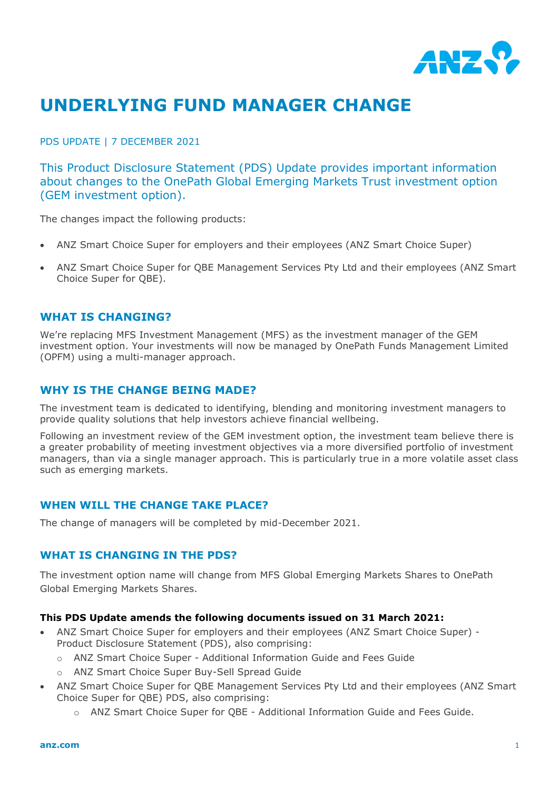

# **UNDERLYING FUND MANAGER CHANGE**

PDS UPDATE | 7 DECEMBER 2021

This Product Disclosure Statement (PDS) Update provides important information about changes to the OnePath Global Emerging Markets Trust investment option (GEM investment option).

The changes impact the following products:

- ANZ Smart Choice Super for employers and their employees (ANZ Smart Choice Super)
- ANZ Smart Choice Super for QBE Management Services Pty Ltd and their employees (ANZ Smart Choice Super for QBE).

### **WHAT IS CHANGING?**

We're replacing MFS Investment Management (MFS) as the investment manager of the GEM investment option. Your investments will now be managed by OnePath Funds Management Limited (OPFM) using a multi-manager approach.

## **WHY IS THE CHANGE BEING MADE?**

The investment team is dedicated to identifying, blending and monitoring investment managers to provide quality solutions that help investors achieve financial wellbeing.

Following an investment review of the GEM investment option, the investment team believe there is a greater probability of meeting investment objectives via a more diversified portfolio of investment managers, than via a single manager approach. This is particularly true in a more volatile asset class such as emerging markets.

### **WHEN WILL THE CHANGE TAKE PLACE?**

The change of managers will be completed by mid-December 2021.

### **WHAT IS CHANGING IN THE PDS?**

The investment option name will change from MFS Global Emerging Markets Shares to OnePath Global Emerging Markets Shares.

#### **This PDS Update amends the following documents issued on 31 March 2021:**

- ANZ Smart Choice Super for employers and their employees (ANZ Smart Choice Super) Product Disclosure Statement (PDS), also comprising:
	- o ANZ Smart Choice Super Additional Information Guide and Fees Guide
	- o ANZ Smart Choice Super Buy-Sell Spread Guide
- ANZ Smart Choice Super for QBE Management Services Pty Ltd and their employees (ANZ Smart Choice Super for QBE) PDS, also comprising:
	- o ANZ Smart Choice Super for QBE Additional Information Guide and Fees Guide.